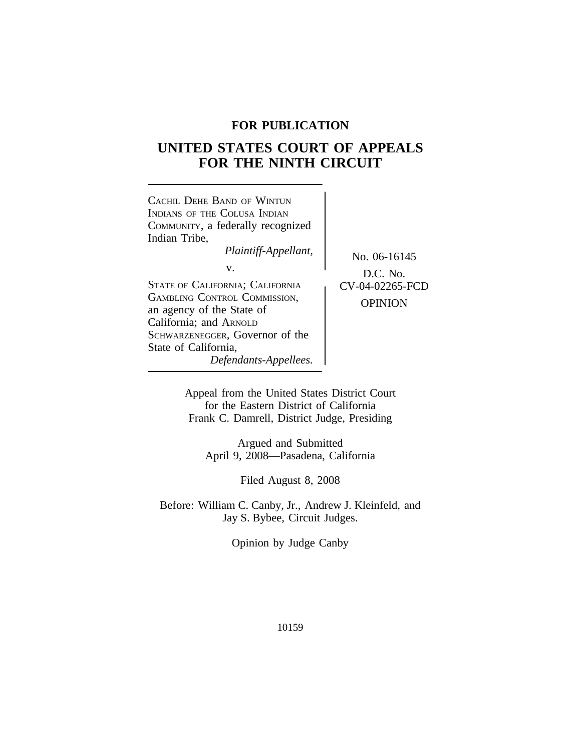## **FOR PUBLICATION**

# **UNITED STATES COURT OF APPEALS FOR THE NINTH CIRCUIT**

| CACHIL DEHE BAND OF WINTLIN<br>INDIANS OF THE COLUSA INDIAN<br>COMMUNITY, a federally recognized<br>Indian Tribe,<br>Plaintiff-Appellant,<br>v.<br><b>STATE OF CALIFORNIA; CALIFORNIA</b><br><b>GAMBLING CONTROL COMMISSION,</b><br>an agency of the State of<br>California; and ARNOLD<br>SCHWARZENEGGER, Governor of the<br>State of California,<br>Defendants-Appellees. | No. 06-16145<br>$D.C.$ No.<br>CV-04-02265-FCD<br><b>OPINION</b> |
|-----------------------------------------------------------------------------------------------------------------------------------------------------------------------------------------------------------------------------------------------------------------------------------------------------------------------------------------------------------------------------|-----------------------------------------------------------------|
|-----------------------------------------------------------------------------------------------------------------------------------------------------------------------------------------------------------------------------------------------------------------------------------------------------------------------------------------------------------------------------|-----------------------------------------------------------------|

Appeal from the United States District Court for the Eastern District of California Frank C. Damrell, District Judge, Presiding

Argued and Submitted April 9, 2008—Pasadena, California

Filed August 8, 2008

Before: William C. Canby, Jr., Andrew J. Kleinfeld, and Jay S. Bybee, Circuit Judges.

Opinion by Judge Canby

10159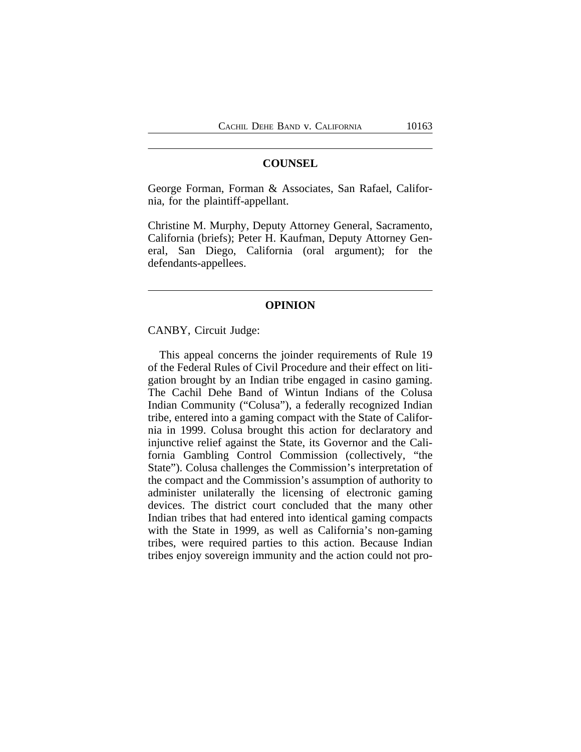## **COUNSEL**

George Forman, Forman & Associates, San Rafael, California, for the plaintiff-appellant.

Christine M. Murphy, Deputy Attorney General, Sacramento, California (briefs); Peter H. Kaufman, Deputy Attorney General, San Diego, California (oral argument); for the defendants-appellees.

#### **OPINION**

CANBY, Circuit Judge:

This appeal concerns the joinder requirements of Rule 19 of the Federal Rules of Civil Procedure and their effect on litigation brought by an Indian tribe engaged in casino gaming. The Cachil Dehe Band of Wintun Indians of the Colusa Indian Community ("Colusa"), a federally recognized Indian tribe, entered into a gaming compact with the State of California in 1999. Colusa brought this action for declaratory and injunctive relief against the State, its Governor and the California Gambling Control Commission (collectively, "the State"). Colusa challenges the Commission's interpretation of the compact and the Commission's assumption of authority to administer unilaterally the licensing of electronic gaming devices. The district court concluded that the many other Indian tribes that had entered into identical gaming compacts with the State in 1999, as well as California's non-gaming tribes, were required parties to this action. Because Indian tribes enjoy sovereign immunity and the action could not pro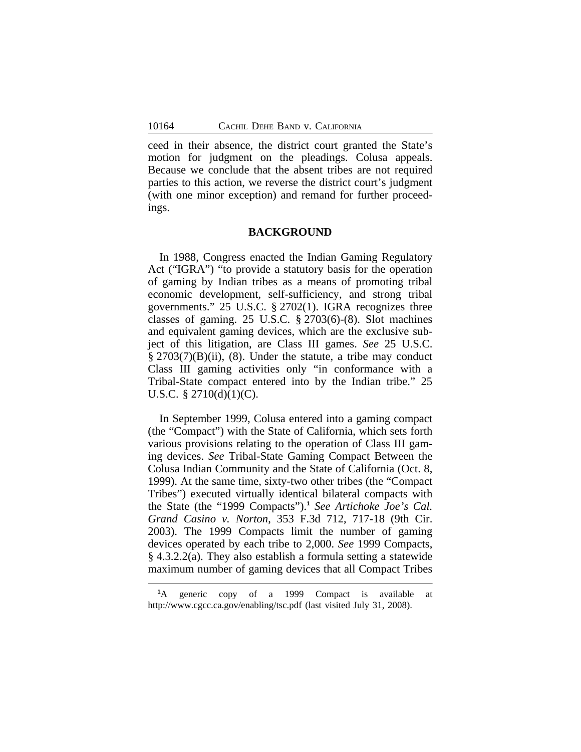ceed in their absence, the district court granted the State's motion for judgment on the pleadings. Colusa appeals. Because we conclude that the absent tribes are not required parties to this action, we reverse the district court's judgment (with one minor exception) and remand for further proceedings.

#### **BACKGROUND**

In 1988, Congress enacted the Indian Gaming Regulatory Act ("IGRA") "to provide a statutory basis for the operation of gaming by Indian tribes as a means of promoting tribal economic development, self-sufficiency, and strong tribal governments." 25 U.S.C. § 2702(1). IGRA recognizes three classes of gaming. 25 U.S.C. § 2703(6)-(8). Slot machines and equivalent gaming devices, which are the exclusive subject of this litigation, are Class III games. *See* 25 U.S.C. § 2703(7)(B)(ii), (8). Under the statute, a tribe may conduct Class III gaming activities only "in conformance with a Tribal-State compact entered into by the Indian tribe." 25 U.S.C.  $\S 2710(d)(1)(C)$ .

In September 1999, Colusa entered into a gaming compact (the "Compact") with the State of California, which sets forth various provisions relating to the operation of Class III gaming devices. *See* Tribal-State Gaming Compact Between the Colusa Indian Community and the State of California (Oct. 8, 1999). At the same time, sixty-two other tribes (the "Compact Tribes") executed virtually identical bilateral compacts with the State (the "1999 Compacts").**<sup>1</sup>** *See Artichoke Joe's Cal. Grand Casino v. Norton*, 353 F.3d 712, 717-18 (9th Cir. 2003). The 1999 Compacts limit the number of gaming devices operated by each tribe to 2,000. *See* 1999 Compacts, § 4.3.2.2(a). They also establish a formula setting a statewide maximum number of gaming devices that all Compact Tribes

**<sup>1</sup>**A generic copy of a 1999 Compact is available at http://www.cgcc.ca.gov/enabling/tsc.pdf (last visited July 31, 2008).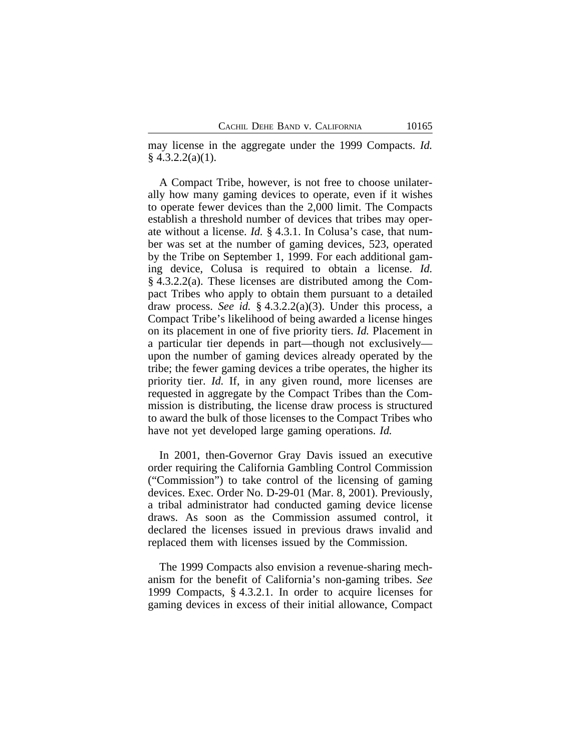may license in the aggregate under the 1999 Compacts. *Id.* § 4.3.2.2(a)(1).

A Compact Tribe, however, is not free to choose unilaterally how many gaming devices to operate, even if it wishes to operate fewer devices than the 2,000 limit. The Compacts establish a threshold number of devices that tribes may operate without a license. *Id.* § 4.3.1. In Colusa's case, that number was set at the number of gaming devices, 523, operated by the Tribe on September 1, 1999. For each additional gaming device, Colusa is required to obtain a license. *Id.* § 4.3.2.2(a). These licenses are distributed among the Compact Tribes who apply to obtain them pursuant to a detailed draw process. *See id.* § 4.3.2.2(a)(3). Under this process, a Compact Tribe's likelihood of being awarded a license hinges on its placement in one of five priority tiers. *Id.* Placement in a particular tier depends in part—though not exclusively upon the number of gaming devices already operated by the tribe; the fewer gaming devices a tribe operates, the higher its priority tier. *Id.* If, in any given round, more licenses are requested in aggregate by the Compact Tribes than the Commission is distributing, the license draw process is structured to award the bulk of those licenses to the Compact Tribes who have not yet developed large gaming operations. *Id.*

In 2001, then-Governor Gray Davis issued an executive order requiring the California Gambling Control Commission ("Commission") to take control of the licensing of gaming devices. Exec. Order No. D-29-01 (Mar. 8, 2001). Previously, a tribal administrator had conducted gaming device license draws. As soon as the Commission assumed control, it declared the licenses issued in previous draws invalid and replaced them with licenses issued by the Commission.

The 1999 Compacts also envision a revenue-sharing mechanism for the benefit of California's non-gaming tribes. *See* 1999 Compacts, § 4.3.2.1. In order to acquire licenses for gaming devices in excess of their initial allowance, Compact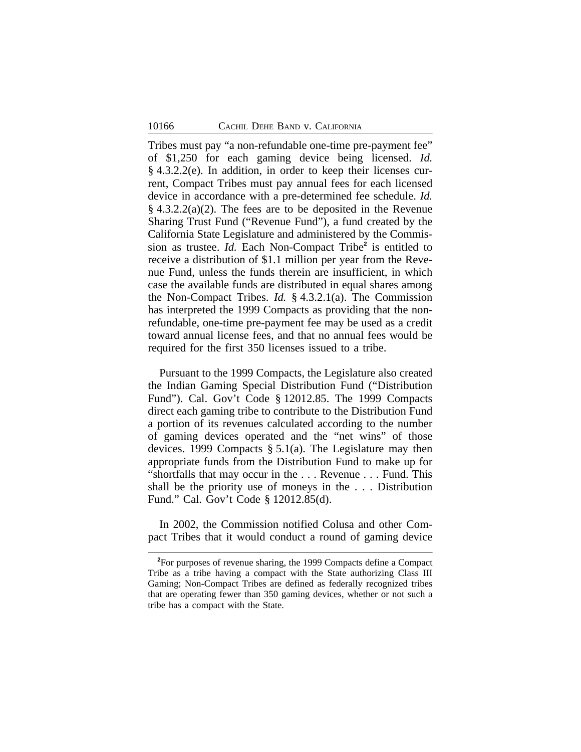Tribes must pay "a non-refundable one-time pre-payment fee" of \$1,250 for each gaming device being licensed. *Id.* § 4.3.2.2(e). In addition, in order to keep their licenses current, Compact Tribes must pay annual fees for each licensed device in accordance with a pre-determined fee schedule. *Id.*  $§$  4.3.2.2(a)(2). The fees are to be deposited in the Revenue Sharing Trust Fund ("Revenue Fund"), a fund created by the California State Legislature and administered by the Commission as trustee. *Id.* Each Non-Compact Tribe**<sup>2</sup>** is entitled to receive a distribution of \$1.1 million per year from the Revenue Fund, unless the funds therein are insufficient, in which case the available funds are distributed in equal shares among the Non-Compact Tribes. *Id.* § 4.3.2.1(a). The Commission has interpreted the 1999 Compacts as providing that the nonrefundable, one-time pre-payment fee may be used as a credit toward annual license fees, and that no annual fees would be required for the first 350 licenses issued to a tribe.

Pursuant to the 1999 Compacts, the Legislature also created the Indian Gaming Special Distribution Fund ("Distribution Fund"). Cal. Gov't Code § 12012.85. The 1999 Compacts direct each gaming tribe to contribute to the Distribution Fund a portion of its revenues calculated according to the number of gaming devices operated and the "net wins" of those devices. 1999 Compacts § 5.1(a). The Legislature may then appropriate funds from the Distribution Fund to make up for "shortfalls that may occur in the . . . Revenue . . . Fund. This shall be the priority use of moneys in the . . . Distribution Fund." Cal. Gov't Code § 12012.85(d).

In 2002, the Commission notified Colusa and other Compact Tribes that it would conduct a round of gaming device

**<sup>2</sup>**For purposes of revenue sharing, the 1999 Compacts define a Compact Tribe as a tribe having a compact with the State authorizing Class III Gaming; Non-Compact Tribes are defined as federally recognized tribes that are operating fewer than 350 gaming devices, whether or not such a tribe has a compact with the State.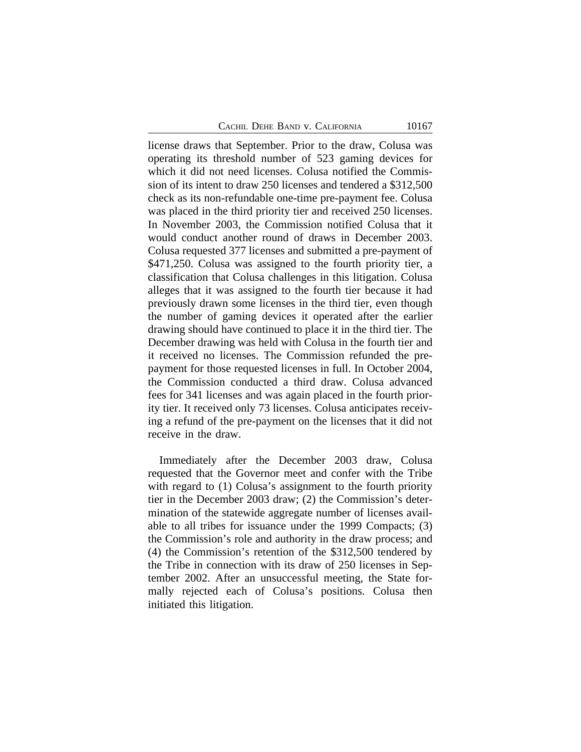license draws that September. Prior to the draw, Colusa was operating its threshold number of 523 gaming devices for which it did not need licenses. Colusa notified the Commission of its intent to draw 250 licenses and tendered a \$312,500 check as its non-refundable one-time pre-payment fee. Colusa was placed in the third priority tier and received 250 licenses. In November 2003, the Commission notified Colusa that it would conduct another round of draws in December 2003. Colusa requested 377 licenses and submitted a pre-payment of \$471,250. Colusa was assigned to the fourth priority tier, a classification that Colusa challenges in this litigation. Colusa alleges that it was assigned to the fourth tier because it had previously drawn some licenses in the third tier, even though the number of gaming devices it operated after the earlier drawing should have continued to place it in the third tier. The December drawing was held with Colusa in the fourth tier and it received no licenses. The Commission refunded the prepayment for those requested licenses in full. In October 2004, the Commission conducted a third draw. Colusa advanced fees for 341 licenses and was again placed in the fourth priority tier. It received only 73 licenses. Colusa anticipates receiving a refund of the pre-payment on the licenses that it did not receive in the draw.

Immediately after the December 2003 draw, Colusa requested that the Governor meet and confer with the Tribe with regard to (1) Colusa's assignment to the fourth priority tier in the December 2003 draw; (2) the Commission's determination of the statewide aggregate number of licenses available to all tribes for issuance under the 1999 Compacts; (3) the Commission's role and authority in the draw process; and (4) the Commission's retention of the \$312,500 tendered by the Tribe in connection with its draw of 250 licenses in September 2002. After an unsuccessful meeting, the State formally rejected each of Colusa's positions. Colusa then initiated this litigation.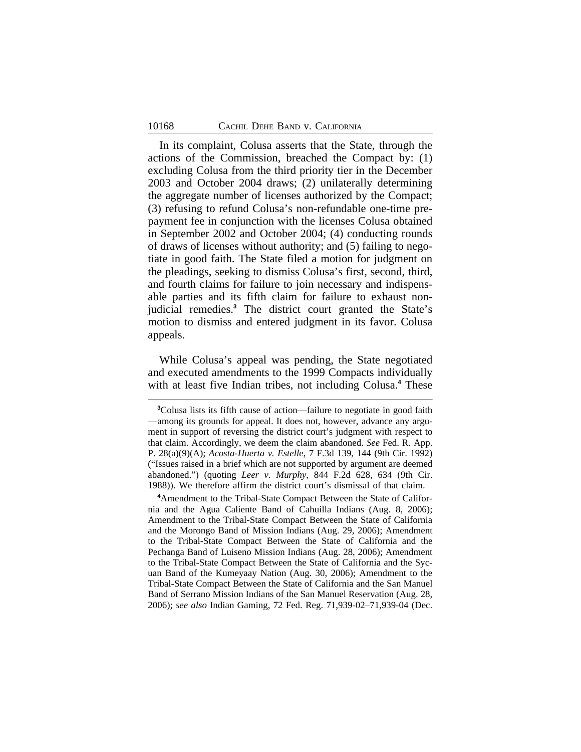In its complaint, Colusa asserts that the State, through the actions of the Commission, breached the Compact by: (1) excluding Colusa from the third priority tier in the December 2003 and October 2004 draws; (2) unilaterally determining the aggregate number of licenses authorized by the Compact; (3) refusing to refund Colusa's non-refundable one-time prepayment fee in conjunction with the licenses Colusa obtained in September 2002 and October 2004; (4) conducting rounds of draws of licenses without authority; and (5) failing to negotiate in good faith. The State filed a motion for judgment on the pleadings, seeking to dismiss Colusa's first, second, third, and fourth claims for failure to join necessary and indispensable parties and its fifth claim for failure to exhaust nonjudicial remedies.**<sup>3</sup>** The district court granted the State's motion to dismiss and entered judgment in its favor. Colusa appeals.

While Colusa's appeal was pending, the State negotiated and executed amendments to the 1999 Compacts individually with at least five Indian tribes, not including Colusa.**<sup>4</sup>** These

**<sup>4</sup>**Amendment to the Tribal-State Compact Between the State of California and the Agua Caliente Band of Cahuilla Indians (Aug. 8, 2006); Amendment to the Tribal-State Compact Between the State of California and the Morongo Band of Mission Indians (Aug. 29, 2006); Amendment to the Tribal-State Compact Between the State of California and the Pechanga Band of Luiseno Mission Indians (Aug. 28, 2006); Amendment to the Tribal-State Compact Between the State of California and the Sycuan Band of the Kumeyaay Nation (Aug. 30, 2006); Amendment to the Tribal-State Compact Between the State of California and the San Manuel Band of Serrano Mission Indians of the San Manuel Reservation (Aug. 28, 2006); *see also* Indian Gaming, 72 Fed. Reg. 71,939-02–71,939-04 (Dec.

**<sup>3</sup>**Colusa lists its fifth cause of action—failure to negotiate in good faith —among its grounds for appeal. It does not, however, advance any argument in support of reversing the district court's judgment with respect to that claim. Accordingly, we deem the claim abandoned. *See* Fed. R. App. P. 28(a)(9)(A); *Acosta-Huerta v. Estelle*, 7 F.3d 139, 144 (9th Cir. 1992) ("Issues raised in a brief which are not supported by argument are deemed abandoned.") (quoting *Leer v. Murphy*, 844 F.2d 628, 634 (9th Cir. 1988)). We therefore affirm the district court's dismissal of that claim.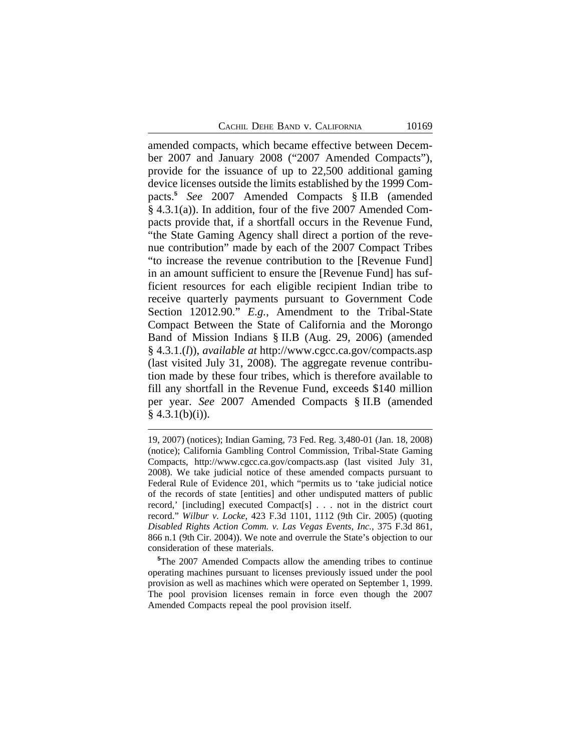amended compacts, which became effective between December 2007 and January 2008 ("2007 Amended Compacts"), provide for the issuance of up to 22,500 additional gaming device licenses outside the limits established by the 1999 Compacts.**<sup>5</sup>** *See* 2007 Amended Compacts § II.B (amended § 4.3.1(a)). In addition, four of the five 2007 Amended Compacts provide that, if a shortfall occurs in the Revenue Fund, "the State Gaming Agency shall direct a portion of the revenue contribution" made by each of the 2007 Compact Tribes "to increase the revenue contribution to the [Revenue Fund] in an amount sufficient to ensure the [Revenue Fund] has sufficient resources for each eligible recipient Indian tribe to receive quarterly payments pursuant to Government Code Section 12012.90." *E.g.*, Amendment to the Tribal-State Compact Between the State of California and the Morongo Band of Mission Indians § II.B (Aug. 29, 2006) (amended § 4.3.1.(*l*)), *available at* http://www.cgcc.ca.gov/compacts.asp (last visited July 31, 2008). The aggregate revenue contribution made by these four tribes, which is therefore available to fill any shortfall in the Revenue Fund, exceeds \$140 million per year. *See* 2007 Amended Compacts § II.B (amended  $§$  4.3.1(b)(i)).

<sup>19, 2007) (</sup>notices); Indian Gaming, 73 Fed. Reg. 3,480-01 (Jan. 18, 2008) (notice); California Gambling Control Commission, Tribal-State Gaming Compacts, http://www.cgcc.ca.gov/compacts.asp (last visited July 31, 2008). We take judicial notice of these amended compacts pursuant to Federal Rule of Evidence 201, which "permits us to 'take judicial notice of the records of state [entities] and other undisputed matters of public record,' [including] executed Compact[s] . . . not in the district court record." *Wilbur v. Locke*, 423 F.3d 1101, 1112 (9th Cir. 2005) (quoting *Disabled Rights Action Comm. v. Las Vegas Events, Inc.*, 375 F.3d 861, 866 n.1 (9th Cir. 2004)). We note and overrule the State's objection to our consideration of these materials.

**<sup>5</sup>**The 2007 Amended Compacts allow the amending tribes to continue operating machines pursuant to licenses previously issued under the pool provision as well as machines which were operated on September 1, 1999. The pool provision licenses remain in force even though the 2007 Amended Compacts repeal the pool provision itself.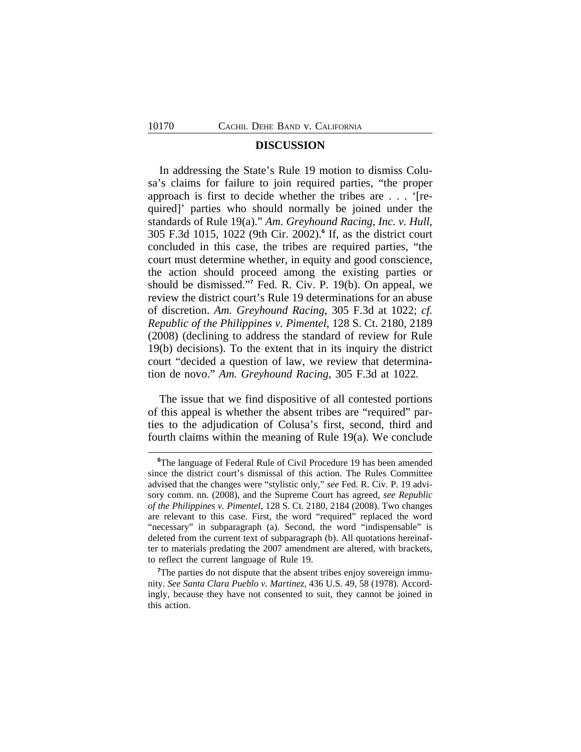## **DISCUSSION**

In addressing the State's Rule 19 motion to dismiss Colusa's claims for failure to join required parties, "the proper approach is first to decide whether the tribes are . . . '[required]' parties who should normally be joined under the standards of Rule 19(a)." *Am. Greyhound Racing, Inc. v. Hull*, 305 F.3d 1015, 1022 (9th Cir. 2002).**<sup>6</sup>** If, as the district court concluded in this case, the tribes are required parties, "the court must determine whether, in equity and good conscience, the action should proceed among the existing parties or should be dismissed." **7** Fed. R. Civ. P. 19(b). On appeal, we review the district court's Rule 19 determinations for an abuse of discretion. *Am. Greyhound Racing*, 305 F.3d at 1022; *cf. Republic of the Philippines v. Pimentel*, 128 S. Ct. 2180, 2189 (2008) (declining to address the standard of review for Rule 19(b) decisions). To the extent that in its inquiry the district court "decided a question of law, we review that determination de novo." *Am. Greyhound Racing*, 305 F.3d at 1022*.* 

The issue that we find dispositive of all contested portions of this appeal is whether the absent tribes are "required" parties to the adjudication of Colusa's first, second, third and fourth claims within the meaning of Rule 19(a). We conclude

**<sup>6</sup>**The language of Federal Rule of Civil Procedure 19 has been amended since the district court's dismissal of this action. The Rules Committee advised that the changes were "stylistic only," *see* Fed. R. Civ. P. 19 advisory comm. nn. (2008), and the Supreme Court has agreed, *see Republic of the Philippines v. Pimentel*, 128 S. Ct. 2180, 2184 (2008). Two changes are relevant to this case. First, the word "required" replaced the word "necessary" in subparagraph (a). Second, the word "indispensable" is deleted from the current text of subparagraph (b). All quotations hereinafter to materials predating the 2007 amendment are altered, with brackets, to reflect the current language of Rule 19.

<sup>&</sup>lt;sup>7</sup>The parties do not dispute that the absent tribes enjoy sovereign immunity. *See Santa Clara Pueblo v. Martinez*, 436 U.S. 49, 58 (1978). Accordingly, because they have not consented to suit, they cannot be joined in this action.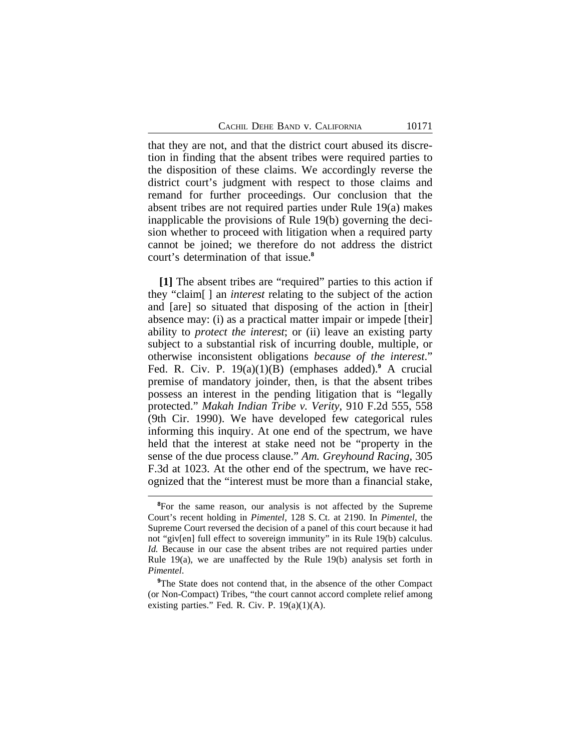that they are not, and that the district court abused its discretion in finding that the absent tribes were required parties to the disposition of these claims. We accordingly reverse the district court's judgment with respect to those claims and remand for further proceedings. Our conclusion that the absent tribes are not required parties under Rule 19(a) makes inapplicable the provisions of Rule 19(b) governing the decision whether to proceed with litigation when a required party cannot be joined; we therefore do not address the district court's determination of that issue.**<sup>8</sup>**

**[1]** The absent tribes are "required" parties to this action if they "claim[ ] an *interest* relating to the subject of the action and [are] so situated that disposing of the action in [their] absence may: (i) as a practical matter impair or impede [their] ability to *protect the interest*; or (ii) leave an existing party subject to a substantial risk of incurring double, multiple, or otherwise inconsistent obligations *because of the interest*." Fed. R. Civ. P. 19(a)(1)(B) (emphases added).**<sup>9</sup>** A crucial premise of mandatory joinder, then, is that the absent tribes possess an interest in the pending litigation that is "legally protected." *Makah Indian Tribe v. Verity*, 910 F.2d 555, 558 (9th Cir. 1990). We have developed few categorical rules informing this inquiry. At one end of the spectrum, we have held that the interest at stake need not be "property in the sense of the due process clause." *Am. Greyhound Racing*, 305 F.3d at 1023. At the other end of the spectrum, we have recognized that the "interest must be more than a financial stake,

<sup>&</sup>lt;sup>8</sup>For the same reason, our analysis is not affected by the Supreme Court's recent holding in *Pimentel*, 128 S. Ct. at 2190. In *Pimentel*, the Supreme Court reversed the decision of a panel of this court because it had not "giv[en] full effect to sovereign immunity" in its Rule 19(b) calculus. *Id.* Because in our case the absent tribes are not required parties under Rule 19(a), we are unaffected by the Rule 19(b) analysis set forth in *Pimentel*.

**<sup>9</sup>**The State does not contend that, in the absence of the other Compact (or Non-Compact) Tribes, "the court cannot accord complete relief among existing parties." Fed. R. Civ. P. 19(a)(1)(A).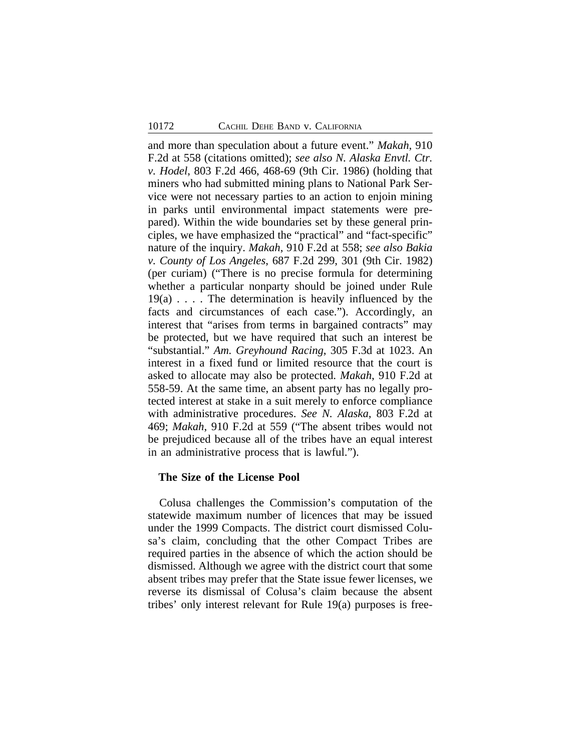and more than speculation about a future event." *Makah*, 910 F.2d at 558 (citations omitted); *see also N. Alaska Envtl. Ctr. v. Hodel*, 803 F.2d 466, 468-69 (9th Cir. 1986) (holding that miners who had submitted mining plans to National Park Service were not necessary parties to an action to enjoin mining in parks until environmental impact statements were prepared). Within the wide boundaries set by these general principles, we have emphasized the "practical" and "fact-specific" nature of the inquiry. *Makah*, 910 F.2d at 558; *see also Bakia v. County of Los Angeles*, 687 F.2d 299, 301 (9th Cir. 1982) (per curiam) ("There is no precise formula for determining whether a particular nonparty should be joined under Rule 19(a) . . . . The determination is heavily influenced by the facts and circumstances of each case."). Accordingly, an interest that "arises from terms in bargained contracts" may be protected, but we have required that such an interest be "substantial." *Am. Greyhound Racing*, 305 F.3d at 1023. An interest in a fixed fund or limited resource that the court is asked to allocate may also be protected. *Makah*, 910 F.2d at 558-59. At the same time, an absent party has no legally protected interest at stake in a suit merely to enforce compliance with administrative procedures. *See N. Alaska*, 803 F.2d at 469; *Makah*, 910 F.2d at 559 ("The absent tribes would not be prejudiced because all of the tribes have an equal interest in an administrative process that is lawful.").

#### **The Size of the License Pool**

Colusa challenges the Commission's computation of the statewide maximum number of licences that may be issued under the 1999 Compacts. The district court dismissed Colusa's claim, concluding that the other Compact Tribes are required parties in the absence of which the action should be dismissed. Although we agree with the district court that some absent tribes may prefer that the State issue fewer licenses, we reverse its dismissal of Colusa's claim because the absent tribes' only interest relevant for Rule 19(a) purposes is free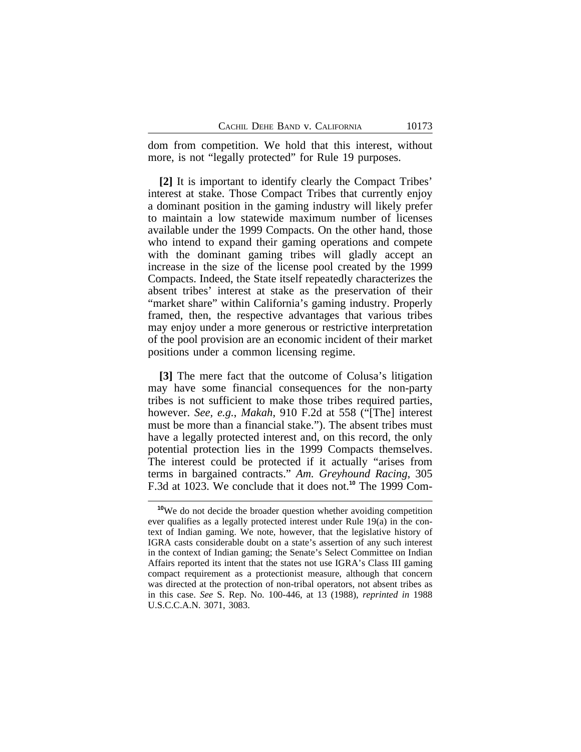dom from competition. We hold that this interest, without more, is not "legally protected" for Rule 19 purposes.

**[2]** It is important to identify clearly the Compact Tribes' interest at stake. Those Compact Tribes that currently enjoy a dominant position in the gaming industry will likely prefer to maintain a low statewide maximum number of licenses available under the 1999 Compacts. On the other hand, those who intend to expand their gaming operations and compete with the dominant gaming tribes will gladly accept an increase in the size of the license pool created by the 1999 Compacts. Indeed, the State itself repeatedly characterizes the absent tribes' interest at stake as the preservation of their "market share" within California's gaming industry. Properly framed, then, the respective advantages that various tribes may enjoy under a more generous or restrictive interpretation of the pool provision are an economic incident of their market positions under a common licensing regime.

**[3]** The mere fact that the outcome of Colusa's litigation may have some financial consequences for the non-party tribes is not sufficient to make those tribes required parties, however. *See, e.g.*, *Makah*, 910 F.2d at 558 ("[The] interest must be more than a financial stake."). The absent tribes must have a legally protected interest and, on this record, the only potential protection lies in the 1999 Compacts themselves. The interest could be protected if it actually "arises from terms in bargained contracts." *Am. Greyhound Racing*, 305 F.3d at 1023. We conclude that it does not.**10** The 1999 Com-

<sup>&</sup>lt;sup>10</sup>We do not decide the broader question whether avoiding competition ever qualifies as a legally protected interest under Rule 19(a) in the context of Indian gaming. We note, however, that the legislative history of IGRA casts considerable doubt on a state's assertion of any such interest in the context of Indian gaming; the Senate's Select Committee on Indian Affairs reported its intent that the states not use IGRA's Class III gaming compact requirement as a protectionist measure, although that concern was directed at the protection of non-tribal operators, not absent tribes as in this case. *See* S. Rep. No. 100-446, at 13 (1988), *reprinted in* 1988 U.S.C.C.A.N. 3071, 3083.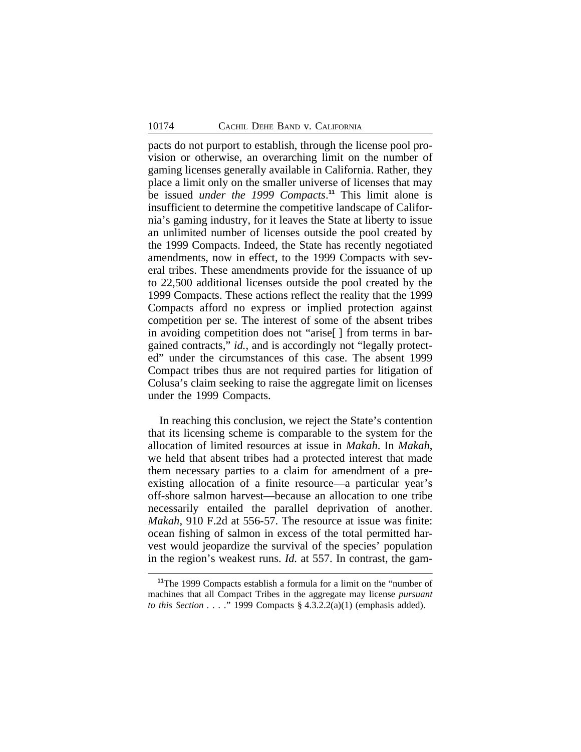pacts do not purport to establish, through the license pool provision or otherwise, an overarching limit on the number of gaming licenses generally available in California. Rather, they place a limit only on the smaller universe of licenses that may be issued *under the 1999 Compacts*. **<sup>11</sup>** This limit alone is insufficient to determine the competitive landscape of California's gaming industry, for it leaves the State at liberty to issue an unlimited number of licenses outside the pool created by the 1999 Compacts. Indeed, the State has recently negotiated amendments, now in effect, to the 1999 Compacts with several tribes. These amendments provide for the issuance of up to 22,500 additional licenses outside the pool created by the 1999 Compacts. These actions reflect the reality that the 1999 Compacts afford no express or implied protection against competition per se. The interest of some of the absent tribes in avoiding competition does not "arise[ ] from terms in bargained contracts," *id.*, and is accordingly not "legally protected" under the circumstances of this case. The absent 1999 Compact tribes thus are not required parties for litigation of Colusa's claim seeking to raise the aggregate limit on licenses under the 1999 Compacts.

In reaching this conclusion, we reject the State's contention that its licensing scheme is comparable to the system for the allocation of limited resources at issue in *Makah*. In *Makah*, we held that absent tribes had a protected interest that made them necessary parties to a claim for amendment of a preexisting allocation of a finite resource—a particular year's off-shore salmon harvest—because an allocation to one tribe necessarily entailed the parallel deprivation of another. *Makah*, 910 F.2d at 556-57. The resource at issue was finite: ocean fishing of salmon in excess of the total permitted harvest would jeopardize the survival of the species' population in the region's weakest runs. *Id.* at 557. In contrast, the gam-

**<sup>11</sup>**The 1999 Compacts establish a formula for a limit on the "number of machines that all Compact Tribes in the aggregate may license *pursuant to this Section . . . .*" 1999 Compacts § 4.3.2.2(a)(1) (emphasis added).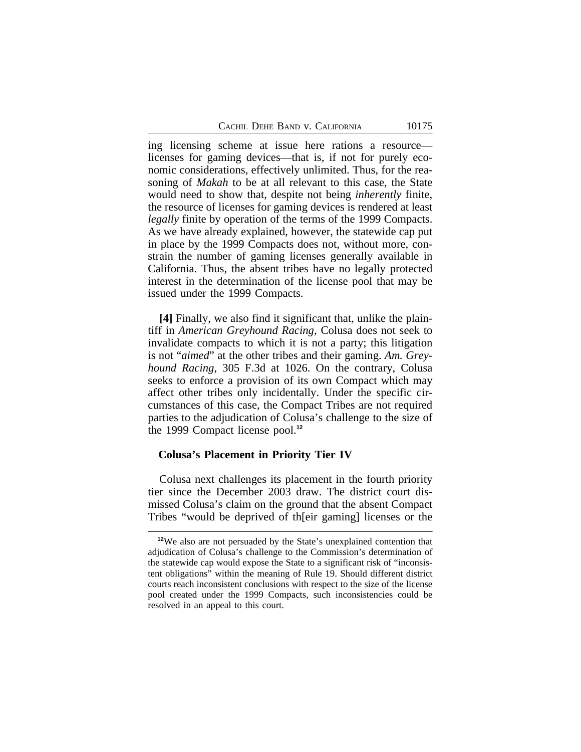ing licensing scheme at issue here rations a resource licenses for gaming devices—that is, if not for purely economic considerations, effectively unlimited. Thus, for the reasoning of *Makah* to be at all relevant to this case, the State would need to show that, despite not being *inherently* finite, the resource of licenses for gaming devices is rendered at least *legally* finite by operation of the terms of the 1999 Compacts. As we have already explained, however, the statewide cap put in place by the 1999 Compacts does not, without more, constrain the number of gaming licenses generally available in California. Thus, the absent tribes have no legally protected interest in the determination of the license pool that may be issued under the 1999 Compacts.

**[4]** Finally, we also find it significant that, unlike the plaintiff in *American Greyhound Racing*, Colusa does not seek to invalidate compacts to which it is not a party; this litigation is not "*aimed*" at the other tribes and their gaming. *Am. Greyhound Racing*, 305 F.3d at 1026. On the contrary, Colusa seeks to enforce a provision of its own Compact which may affect other tribes only incidentally. Under the specific circumstances of this case, the Compact Tribes are not required parties to the adjudication of Colusa's challenge to the size of the 1999 Compact license pool.**<sup>12</sup>**

#### **Colusa's Placement in Priority Tier IV**

Colusa next challenges its placement in the fourth priority tier since the December 2003 draw. The district court dismissed Colusa's claim on the ground that the absent Compact Tribes "would be deprived of th[eir gaming] licenses or the

**<sup>12</sup>**We also are not persuaded by the State's unexplained contention that adjudication of Colusa's challenge to the Commission's determination of the statewide cap would expose the State to a significant risk of "inconsistent obligations" within the meaning of Rule 19. Should different district courts reach inconsistent conclusions with respect to the size of the license pool created under the 1999 Compacts, such inconsistencies could be resolved in an appeal to this court.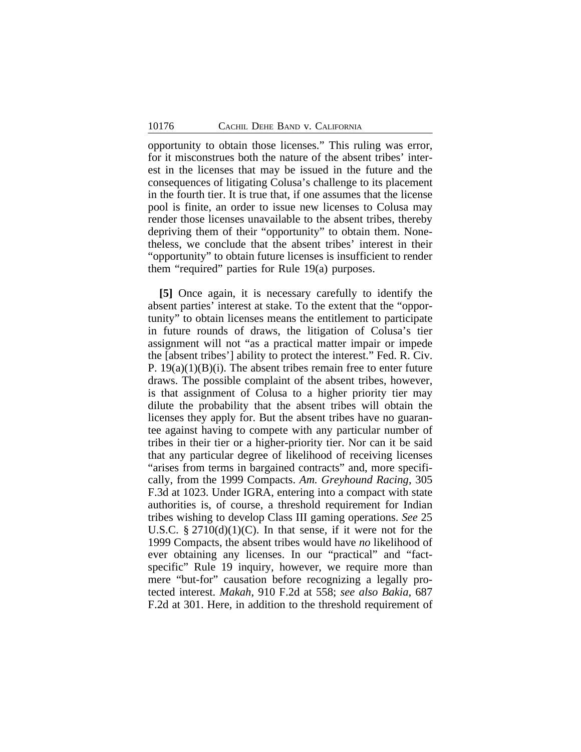opportunity to obtain those licenses." This ruling was error, for it misconstrues both the nature of the absent tribes' interest in the licenses that may be issued in the future and the consequences of litigating Colusa's challenge to its placement in the fourth tier. It is true that, if one assumes that the license pool is finite, an order to issue new licenses to Colusa may render those licenses unavailable to the absent tribes, thereby depriving them of their "opportunity" to obtain them. Nonetheless, we conclude that the absent tribes' interest in their "opportunity" to obtain future licenses is insufficient to render them "required" parties for Rule 19(a) purposes.

**[5]** Once again, it is necessary carefully to identify the absent parties' interest at stake. To the extent that the "opportunity" to obtain licenses means the entitlement to participate in future rounds of draws, the litigation of Colusa's tier assignment will not "as a practical matter impair or impede the [absent tribes'] ability to protect the interest." Fed. R. Civ. P.  $19(a)(1)(B)(i)$ . The absent tribes remain free to enter future draws. The possible complaint of the absent tribes, however, is that assignment of Colusa to a higher priority tier may dilute the probability that the absent tribes will obtain the licenses they apply for. But the absent tribes have no guarantee against having to compete with any particular number of tribes in their tier or a higher-priority tier. Nor can it be said that any particular degree of likelihood of receiving licenses "arises from terms in bargained contracts" and, more specifically, from the 1999 Compacts. *Am. Greyhound Racing*, 305 F.3d at 1023. Under IGRA, entering into a compact with state authorities is, of course, a threshold requirement for Indian tribes wishing to develop Class III gaming operations. *See* 25 U.S.C.  $\S 2710(d)(1)(C)$ . In that sense, if it were not for the 1999 Compacts, the absent tribes would have *no* likelihood of ever obtaining any licenses. In our "practical" and "factspecific" Rule 19 inquiry, however, we require more than mere "but-for" causation before recognizing a legally protected interest. *Makah*, 910 F.2d at 558; *see also Bakia*, 687 F.2d at 301. Here, in addition to the threshold requirement of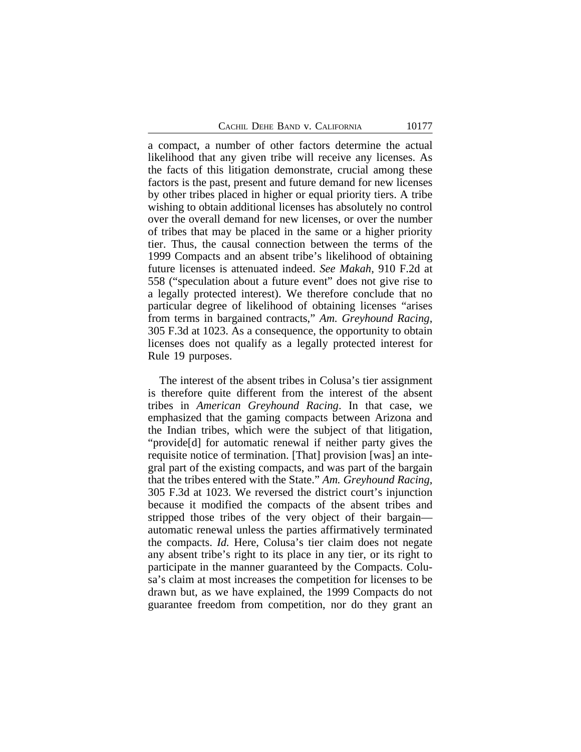a compact, a number of other factors determine the actual likelihood that any given tribe will receive any licenses. As the facts of this litigation demonstrate, crucial among these factors is the past, present and future demand for new licenses by other tribes placed in higher or equal priority tiers. A tribe wishing to obtain additional licenses has absolutely no control over the overall demand for new licenses, or over the number of tribes that may be placed in the same or a higher priority tier. Thus, the causal connection between the terms of the 1999 Compacts and an absent tribe's likelihood of obtaining future licenses is attenuated indeed. *See Makah*, 910 F.2d at 558 ("speculation about a future event" does not give rise to a legally protected interest). We therefore conclude that no particular degree of likelihood of obtaining licenses "arises from terms in bargained contracts," *Am. Greyhound Racing*, 305 F.3d at 1023. As a consequence, the opportunity to obtain licenses does not qualify as a legally protected interest for Rule 19 purposes.

The interest of the absent tribes in Colusa's tier assignment is therefore quite different from the interest of the absent tribes in *American Greyhound Racing*. In that case, we emphasized that the gaming compacts between Arizona and the Indian tribes, which were the subject of that litigation, "provide[d] for automatic renewal if neither party gives the requisite notice of termination. [That] provision [was] an integral part of the existing compacts, and was part of the bargain that the tribes entered with the State." *Am. Greyhound Racing*, 305 F.3d at 1023. We reversed the district court's injunction because it modified the compacts of the absent tribes and stripped those tribes of the very object of their bargain automatic renewal unless the parties affirmatively terminated the compacts. *Id.* Here, Colusa's tier claim does not negate any absent tribe's right to its place in any tier, or its right to participate in the manner guaranteed by the Compacts. Colusa's claim at most increases the competition for licenses to be drawn but, as we have explained, the 1999 Compacts do not guarantee freedom from competition, nor do they grant an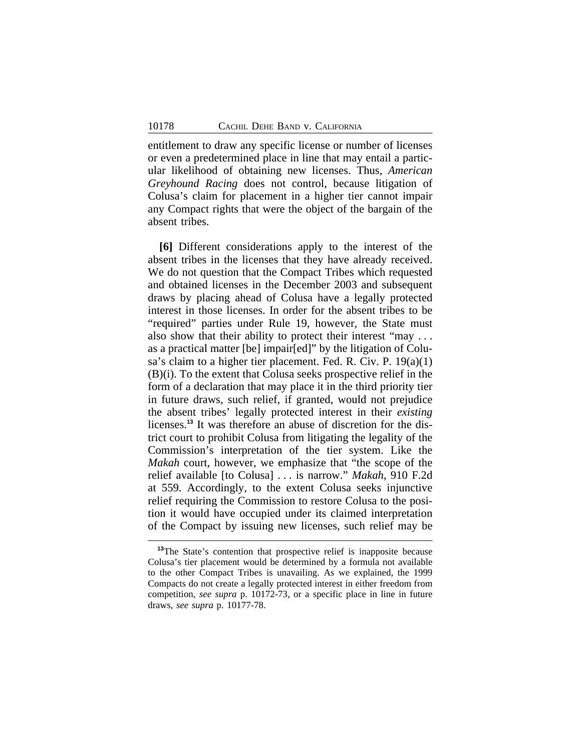entitlement to draw any specific license or number of licenses or even a predetermined place in line that may entail a particular likelihood of obtaining new licenses. Thus, *American Greyhound Racing* does not control, because litigation of Colusa's claim for placement in a higher tier cannot impair any Compact rights that were the object of the bargain of the absent tribes.

**[6]** Different considerations apply to the interest of the absent tribes in the licenses that they have already received. We do not question that the Compact Tribes which requested and obtained licenses in the December 2003 and subsequent draws by placing ahead of Colusa have a legally protected interest in those licenses. In order for the absent tribes to be "required" parties under Rule 19, however, the State must also show that their ability to protect their interest "may . . . as a practical matter [be] impair[ed]" by the litigation of Colusa's claim to a higher tier placement. Fed. R. Civ. P. 19(a)(1) (B)(i). To the extent that Colusa seeks prospective relief in the form of a declaration that may place it in the third priority tier in future draws, such relief, if granted, would not prejudice the absent tribes' legally protected interest in their *existing* licenses.**13** It was therefore an abuse of discretion for the district court to prohibit Colusa from litigating the legality of the Commission's interpretation of the tier system. Like the *Makah* court, however, we emphasize that "the scope of the relief available [to Colusa] . . . is narrow." *Makah*, 910 F.2d at 559. Accordingly, to the extent Colusa seeks injunctive relief requiring the Commission to restore Colusa to the position it would have occupied under its claimed interpretation of the Compact by issuing new licenses, such relief may be

**<sup>13</sup>**The State's contention that prospective relief is inapposite because Colusa's tier placement would be determined by a formula not available to the other Compact Tribes is unavailing. As we explained, the 1999 Compacts do not create a legally protected interest in either freedom from competition, *see supra* p. 10172-73, or a specific place in line in future draws, *see supra* p. 10177-78.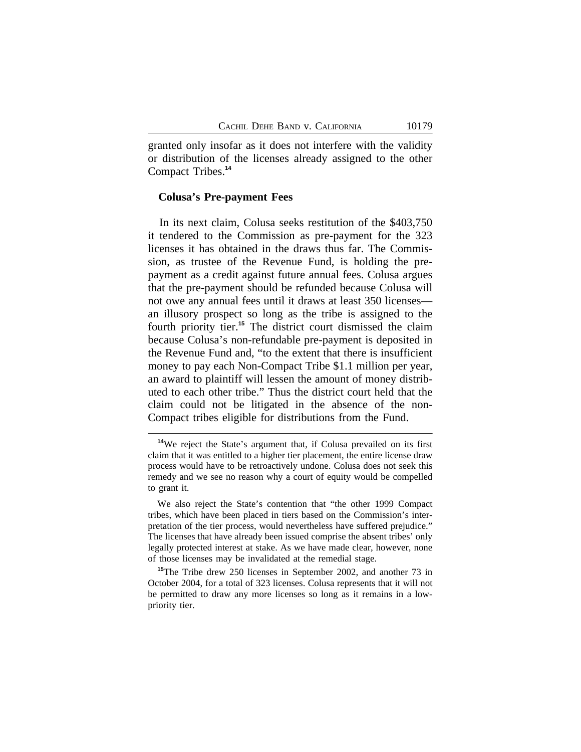granted only insofar as it does not interfere with the validity or distribution of the licenses already assigned to the other Compact Tribes.**<sup>14</sup>**

#### **Colusa's Pre-payment Fees**

In its next claim, Colusa seeks restitution of the \$403,750 it tendered to the Commission as pre-payment for the 323 licenses it has obtained in the draws thus far. The Commission, as trustee of the Revenue Fund, is holding the prepayment as a credit against future annual fees. Colusa argues that the pre-payment should be refunded because Colusa will not owe any annual fees until it draws at least 350 licenses an illusory prospect so long as the tribe is assigned to the fourth priority tier.**<sup>15</sup>** The district court dismissed the claim because Colusa's non-refundable pre-payment is deposited in the Revenue Fund and, "to the extent that there is insufficient money to pay each Non-Compact Tribe \$1.1 million per year, an award to plaintiff will lessen the amount of money distributed to each other tribe." Thus the district court held that the claim could not be litigated in the absence of the non-Compact tribes eligible for distributions from the Fund.

**<sup>14</sup>**We reject the State's argument that, if Colusa prevailed on its first claim that it was entitled to a higher tier placement, the entire license draw process would have to be retroactively undone. Colusa does not seek this remedy and we see no reason why a court of equity would be compelled to grant it.

We also reject the State's contention that "the other 1999 Compact tribes, which have been placed in tiers based on the Commission's interpretation of the tier process, would nevertheless have suffered prejudice." The licenses that have already been issued comprise the absent tribes' only legally protected interest at stake. As we have made clear, however, none of those licenses may be invalidated at the remedial stage.

**<sup>15</sup>**The Tribe drew 250 licenses in September 2002, and another 73 in October 2004, for a total of 323 licenses. Colusa represents that it will not be permitted to draw any more licenses so long as it remains in a lowpriority tier.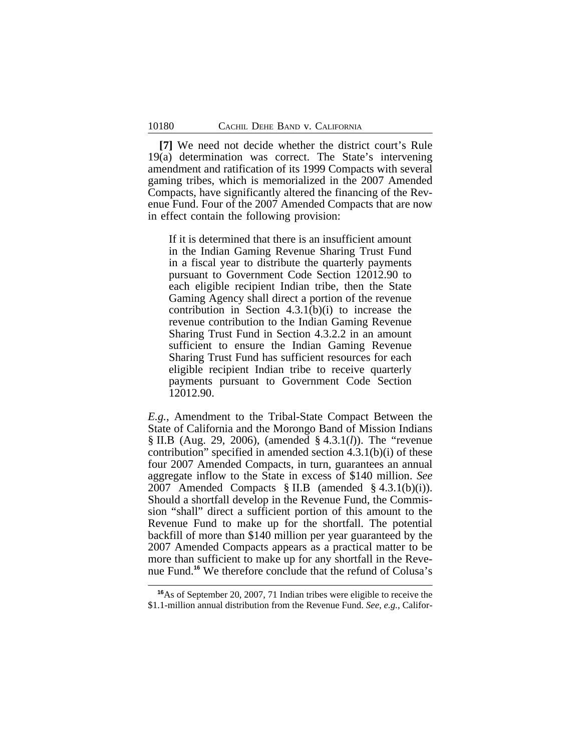**[7]** We need not decide whether the district court's Rule 19(a) determination was correct. The State's intervening amendment and ratification of its 1999 Compacts with several gaming tribes, which is memorialized in the 2007 Amended Compacts, have significantly altered the financing of the Revenue Fund. Four of the 2007 Amended Compacts that are now in effect contain the following provision:

If it is determined that there is an insufficient amount in the Indian Gaming Revenue Sharing Trust Fund in a fiscal year to distribute the quarterly payments pursuant to Government Code Section 12012.90 to each eligible recipient Indian tribe, then the State Gaming Agency shall direct a portion of the revenue contribution in Section 4.3.1(b)(i) to increase the revenue contribution to the Indian Gaming Revenue Sharing Trust Fund in Section 4.3.2.2 in an amount sufficient to ensure the Indian Gaming Revenue Sharing Trust Fund has sufficient resources for each eligible recipient Indian tribe to receive quarterly payments pursuant to Government Code Section 12012.90.

*E.g.*, Amendment to the Tribal-State Compact Between the State of California and the Morongo Band of Mission Indians § II.B (Aug. 29, 2006), (amended § 4.3.1(*l*)). The "revenue contribution" specified in amended section 4.3.1(b)(i) of these four 2007 Amended Compacts, in turn, guarantees an annual aggregate inflow to the State in excess of \$140 million. *See* 2007 Amended Compacts § II.B (amended § 4.3.1(b)(i)). Should a shortfall develop in the Revenue Fund, the Commission "shall" direct a sufficient portion of this amount to the Revenue Fund to make up for the shortfall. The potential backfill of more than \$140 million per year guaranteed by the 2007 Amended Compacts appears as a practical matter to be more than sufficient to make up for any shortfall in the Revenue Fund.**<sup>16</sup>** We therefore conclude that the refund of Colusa's

**<sup>16</sup>**As of September 20, 2007, 71 Indian tribes were eligible to receive the \$1.1-million annual distribution from the Revenue Fund. *See, e.g.*, Califor-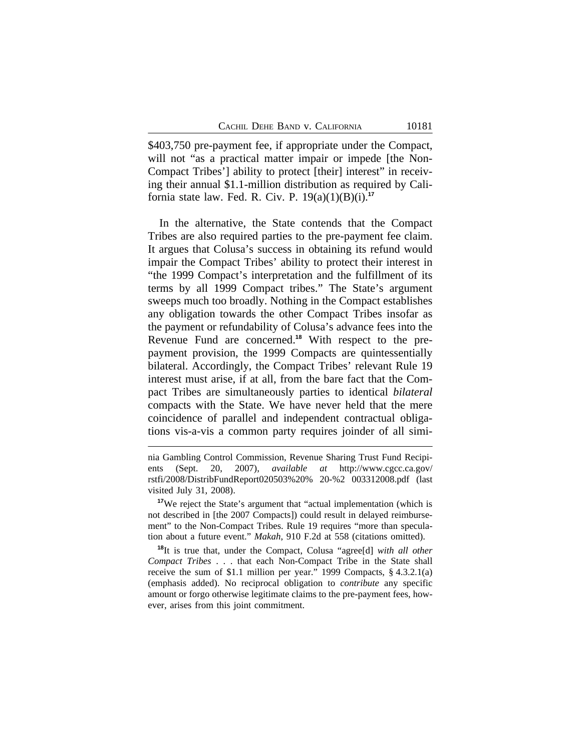\$403,750 pre-payment fee, if appropriate under the Compact, will not "as a practical matter impair or impede [the Non-Compact Tribes'] ability to protect [their] interest" in receiving their annual \$1.1-million distribution as required by California state law. Fed. R. Civ. P. 19(a)(1)(B)(i).**<sup>17</sup>**

In the alternative, the State contends that the Compact Tribes are also required parties to the pre-payment fee claim. It argues that Colusa's success in obtaining its refund would impair the Compact Tribes' ability to protect their interest in "the 1999 Compact's interpretation and the fulfillment of its terms by all 1999 Compact tribes." The State's argument sweeps much too broadly. Nothing in the Compact establishes any obligation towards the other Compact Tribes insofar as the payment or refundability of Colusa's advance fees into the Revenue Fund are concerned.**18** With respect to the prepayment provision, the 1999 Compacts are quintessentially bilateral. Accordingly, the Compact Tribes' relevant Rule 19 interest must arise, if at all, from the bare fact that the Compact Tribes are simultaneously parties to identical *bilateral* compacts with the State. We have never held that the mere coincidence of parallel and independent contractual obligations vis-a-vis a common party requires joinder of all simi-

nia Gambling Control Commission, Revenue Sharing Trust Fund Recipients (Sept. 20, 2007), *available at* http://www.cgcc.ca.gov/ rstfi/2008/DistribFundReport020503%20% 20-%2 003312008.pdf (last visited July 31, 2008).

<sup>&</sup>lt;sup>17</sup>We reject the State's argument that "actual implementation (which is not described in [the 2007 Compacts]) could result in delayed reimbursement" to the Non-Compact Tribes. Rule 19 requires "more than speculation about a future event." *Makah*, 910 F.2d at 558 (citations omitted).

**<sup>18</sup>**It is true that, under the Compact, Colusa "agree[d] *with all other Compact Tribes* . . . that each Non-Compact Tribe in the State shall receive the sum of \$1.1 million per year." 1999 Compacts, § 4.3.2.1(a) (emphasis added). No reciprocal obligation to *contribute* any specific amount or forgo otherwise legitimate claims to the pre-payment fees, however, arises from this joint commitment.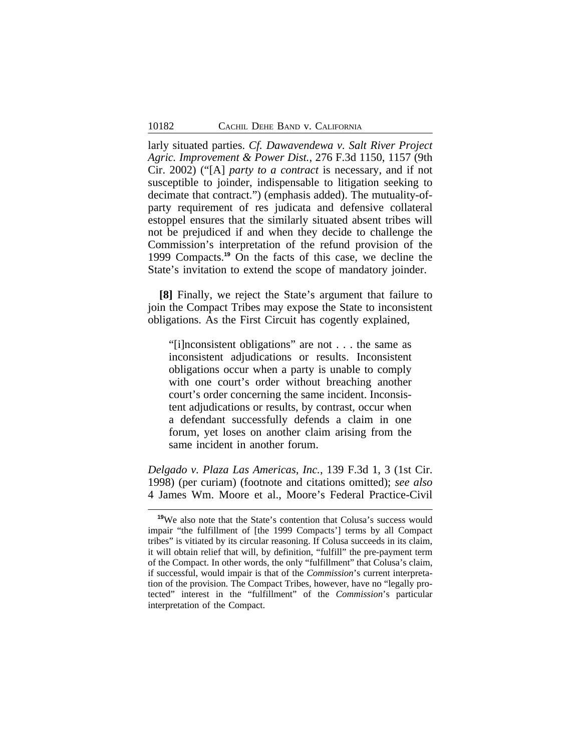larly situated parties. *Cf. Dawavendewa v. Salt River Project Agric. Improvement & Power Dist.*, 276 F.3d 1150, 1157 (9th Cir. 2002) ("[A] *party to a contract* is necessary, and if not susceptible to joinder, indispensable to litigation seeking to decimate that contract.") (emphasis added). The mutuality-ofparty requirement of res judicata and defensive collateral estoppel ensures that the similarly situated absent tribes will not be prejudiced if and when they decide to challenge the Commission's interpretation of the refund provision of the 1999 Compacts.**<sup>19</sup>** On the facts of this case, we decline the State's invitation to extend the scope of mandatory joinder.

**[8]** Finally, we reject the State's argument that failure to join the Compact Tribes may expose the State to inconsistent obligations. As the First Circuit has cogently explained,

"[i]nconsistent obligations" are not . . . the same as inconsistent adjudications or results. Inconsistent obligations occur when a party is unable to comply with one court's order without breaching another court's order concerning the same incident. Inconsistent adjudications or results, by contrast, occur when a defendant successfully defends a claim in one forum, yet loses on another claim arising from the same incident in another forum.

*Delgado v. Plaza Las Americas, Inc.*, 139 F.3d 1, 3 (1st Cir. 1998) (per curiam) (footnote and citations omitted); *see also* 4 James Wm. Moore et al., Moore's Federal Practice-Civil

<sup>&</sup>lt;sup>19</sup>We also note that the State's contention that Colusa's success would impair "the fulfillment of [the 1999 Compacts'] terms by all Compact tribes" is vitiated by its circular reasoning. If Colusa succeeds in its claim, it will obtain relief that will, by definition, "fulfill" the pre-payment term of the Compact. In other words, the only "fulfillment" that Colusa's claim, if successful, would impair is that of the *Commission*'s current interpretation of the provision. The Compact Tribes, however, have no "legally protected" interest in the "fulfillment" of the *Commission*'s particular interpretation of the Compact.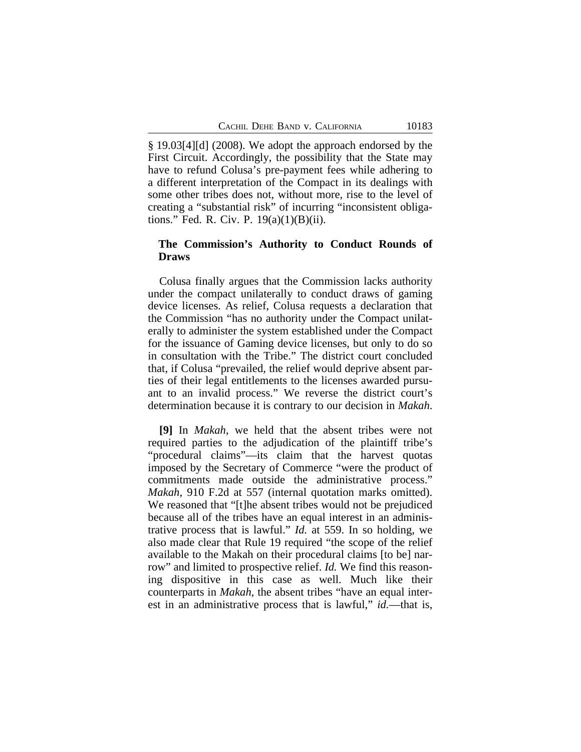§ 19.03[4][d] (2008). We adopt the approach endorsed by the First Circuit. Accordingly, the possibility that the State may have to refund Colusa's pre-payment fees while adhering to a different interpretation of the Compact in its dealings with some other tribes does not, without more, rise to the level of creating a "substantial risk" of incurring "inconsistent obligations." Fed. R. Civ. P. 19(a)(1)(B)(ii).

## **The Commission's Authority to Conduct Rounds of Draws**

Colusa finally argues that the Commission lacks authority under the compact unilaterally to conduct draws of gaming device licenses. As relief, Colusa requests a declaration that the Commission "has no authority under the Compact unilaterally to administer the system established under the Compact for the issuance of Gaming device licenses, but only to do so in consultation with the Tribe." The district court concluded that, if Colusa "prevailed, the relief would deprive absent parties of their legal entitlements to the licenses awarded pursuant to an invalid process." We reverse the district court's determination because it is contrary to our decision in *Makah*.

**[9]** In *Makah*, we held that the absent tribes were not required parties to the adjudication of the plaintiff tribe's "procedural claims"—its claim that the harvest quotas imposed by the Secretary of Commerce "were the product of commitments made outside the administrative process." *Makah*, 910 F.2d at 557 (internal quotation marks omitted). We reasoned that "[t]he absent tribes would not be prejudiced because all of the tribes have an equal interest in an administrative process that is lawful." *Id.* at 559. In so holding, we also made clear that Rule 19 required "the scope of the relief available to the Makah on their procedural claims [to be] narrow" and limited to prospective relief. *Id.* We find this reasoning dispositive in this case as well. Much like their counterparts in *Makah*, the absent tribes "have an equal interest in an administrative process that is lawful," *id.*—that is,